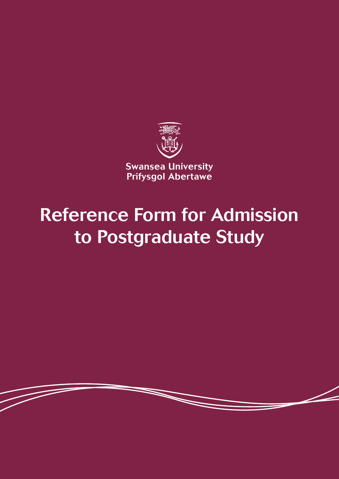

# Reference Form for Admission to Postgraduate Study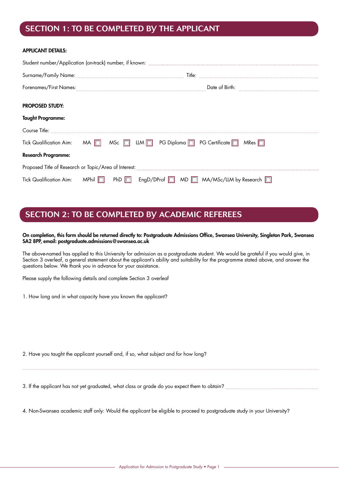### SECTION 1: TO BE COMPLETED BY THE APPLICANT

#### APPLICANT DETAILS:

| <b>PROPOSED STUDY:</b>     |                                                                                                             |  |  |  |  |
|----------------------------|-------------------------------------------------------------------------------------------------------------|--|--|--|--|
| <b>Taught Programme:</b>   |                                                                                                             |  |  |  |  |
|                            |                                                                                                             |  |  |  |  |
|                            | Tick Qualification Aim: $MA \Box$ MSc $\Box$ LLM $\Box$ PG Diploma $\Box$ PG Certificate $\Box$ MRes $\Box$ |  |  |  |  |
| <b>Research Programme:</b> |                                                                                                             |  |  |  |  |
|                            |                                                                                                             |  |  |  |  |
|                            | Tick Qualification Aim: MPhil   PhD   EngD/DProf   MD   MA/MSc/LLM by Research                              |  |  |  |  |

## SECTION 2: TO BE COMPLETED BY ACADEMIC REFEREES

#### On completion, this form should be returned directly to: Postgraduate Admissions Office, Swansea University, Singleton Park, Swansea SA2 8PP, email: postgraduate.admissions@swansea.ac.uk

The above-named has applied to this University for admission as a postgraduate student. We would be grateful if you would give, in Section 3 overleaf, a general statement about the applicant's ability and suitability for the programme stated above, and answer the questions below. We thank you in advance for your assistance.

Please supply the following details and complete Section 3 overleaf

1. How long and in what capacity have you known the applicant?

2. Have you taught the applicant yourself and, if so, what subject and for how long?

3. If the applicant has not yet graduated, what class or grade do you expect them to obtain?

4. Non-Swansea academic staff only: Would the applicant be eligible to proceed to postgraduate study in your University?